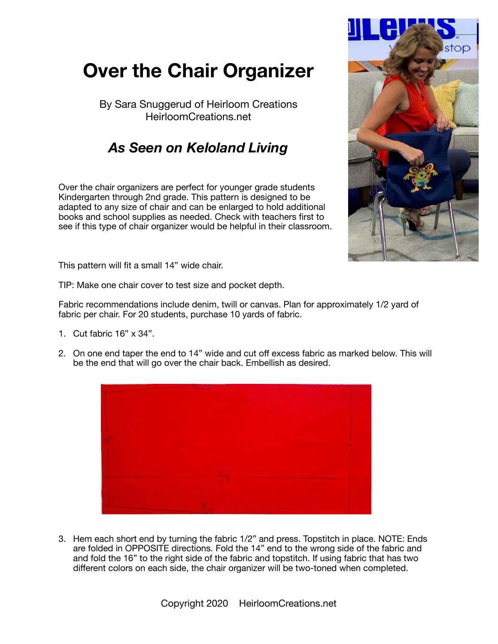## **Over the Chair Organizer**

By Sara Snuggerud of Heirloom Creations HeirloomCreations.net

## *As Seen on Keloland Living*

Over the chair organizers are perfect for younger grade students Kindergarten through 2nd grade. This pattern is designed to be adapted to any size of chair and can be enlarged to hold additional books and school supplies as needed. Check with teachers first to see if this type of chair organizer would be helpful in their classroom.



This pattern will fit a small 14" wide chair.

TIP: Make one chair cover to test size and pocket depth.

Fabric recommendations include denim, twill or canvas. Plan for approximately 1/2 yard of fabric per chair. For 20 students, purchase 10 yards of fabric.

- 1. Cut fabric 16" x 34".
- 2. On one end taper the end to 14" wide and cut off excess fabric as marked below. This will be the end that will go over the chair back. Embellish as desired.



3. Hem each short end by turning the fabric 1/2" and press. Topstitch in place. NOTE: Ends are folded in OPPOSITE directions. Fold the 14" end to the wrong side of the fabric and and fold the 16" to the right side of the fabric and topstitch. If using fabric that has two different colors on each side, the chair organizer will be two-toned when completed.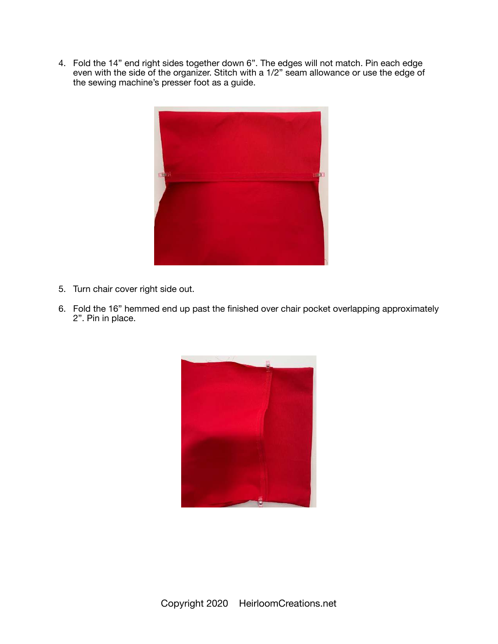4. Fold the 14" end right sides together down 6". The edges will not match. Pin each edge even with the side of the organizer. Stitch with a 1/2" seam allowance or use the edge of the sewing machine's presser foot as a guide.



- 5. Turn chair cover right side out.
- 6. Fold the 16" hemmed end up past the finished over chair pocket overlapping approximately 2". Pin in place.